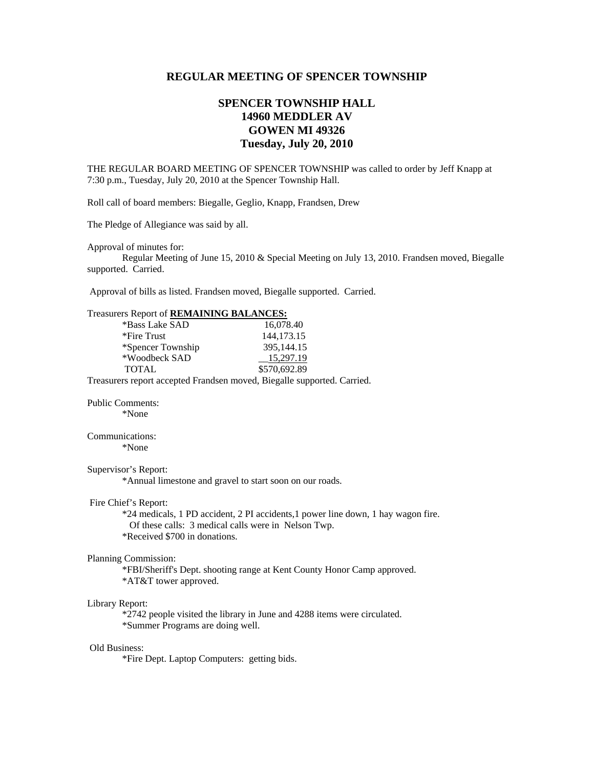## **REGULAR MEETING OF SPENCER TOWNSHIP**

## **SPENCER TOWNSHIP HALL 14960 MEDDLER AV GOWEN MI 49326 Tuesday, July 20, 2010**

THE REGULAR BOARD MEETING OF SPENCER TOWNSHIP was called to order by Jeff Knapp at 7:30 p.m., Tuesday, July 20, 2010 at the Spencer Township Hall.

Roll call of board members: Biegalle, Geglio, Knapp, Frandsen, Drew

The Pledge of Allegiance was said by all.

Approval of minutes for:

 Regular Meeting of June 15, 2010 & Special Meeting on July 13, 2010. Frandsen moved, Biegalle supported. Carried.

Approval of bills as listed. Frandsen moved, Biegalle supported. Carried.

| Treasurers Report of REMAINING BALANCES:    |                                                                                   |
|---------------------------------------------|-----------------------------------------------------------------------------------|
| *Bass Lake SAD                              | 16,078.40                                                                         |
| *Fire Trust                                 | 144,173.15                                                                        |
| *Spencer Township                           | 395,144.15                                                                        |
| *Woodbeck SAD                               | 15,297.19                                                                         |
| <b>TOTAL</b>                                | \$570,692.89                                                                      |
|                                             | Treasurers report accepted Frandsen moved, Biegalle supported. Carried.           |
| <b>Public Comments:</b>                     |                                                                                   |
| *None                                       |                                                                                   |
| Communications:                             |                                                                                   |
| *None                                       |                                                                                   |
| Supervisor's Report:                        |                                                                                   |
|                                             | *Annual limestone and gravel to start soon on our roads.                          |
| Fire Chief's Report:                        |                                                                                   |
|                                             | *24 medicals, 1 PD accident, 2 PI accidents, 1 power line down, 1 hay wagon fire. |
|                                             | Of these calls: 3 medical calls were in Nelson Twp.                               |
| *Received \$700 in donations.               |                                                                                   |
| Planning Commission:                        |                                                                                   |
|                                             | *FBI/Sheriff's Dept. shooting range at Kent County Honor Camp approved.           |
| *AT&T tower approved.                       |                                                                                   |
| Library Report:                             |                                                                                   |
|                                             | *2742 people visited the library in June and 4288 items were circulated.          |
| *Summer Programs are doing well.            |                                                                                   |
| <b>Old Business:</b>                        |                                                                                   |
| *Fire Dept. Laptop Computers: getting bids. |                                                                                   |
|                                             |                                                                                   |